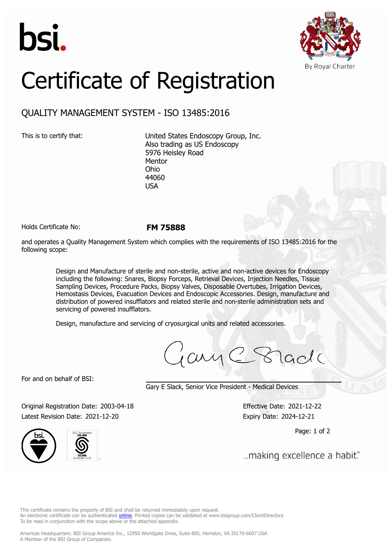



## Certificate of Registration

## QUALITY MANAGEMENT SYSTEM - ISO 13485:2016

This is to certify that: United States Endoscopy Group, Inc. Also trading as US Endoscopy 5976 Heisley Road Mentor Ohio 44060 USA

Holds Certificate No: **FM 75888**

and operates a Quality Management System which complies with the requirements of ISO 13485:2016 for the following scope:

> Design and Manufacture of sterile and non-sterile, active and non-active devices for Endoscopy including the following: Snares, Biopsy Forceps, Retrieval Devices, Injection Needles, Tissue Sampling Devices, Procedure Packs, Biopsy Valves, Disposable Overtubes, Irrigation Devices, Hemostasis Devices, Evacuation Devices and Endoscopic Accessories. Design, manufacture and distribution of powered insufflators and related sterile and non-sterile administration sets and servicing of powered insufflators.

Design, manufacture and servicing of cryosurgical units and related accessories.

jany C 8 lade

For and on behalf of BSI:

Gary E Slack, Senior Vice President - Medical Devices

Original Registration Date: 2003-04-18 Effective Date: 2021-12-22 Latest Revision Date: 2021-12-20 Expiry Date: 2024-12-21



Page: 1 of 2

"...making excellence a habit.

This certificate remains the property of BSI and shall be returned immediately upon request. An electronic certificate can be authenticated *[online](https://pgplus.bsigroup.com/CertificateValidation/CertificateValidator.aspx?CertificateNumber=FM+75888&ReIssueDate=20%2f12%2f2021&Template=inc)*. Printed copies can be validated at www.bsigroup.com/ClientDirectory To be read in conjunction with the scope above or the attached appendix.

Americas Headquarters: BSI Group America Inc., 12950 Worldgate Drive, Suite 800, Herndon, VA 20170-6007 USA A Member of the BSI Group of Companies.